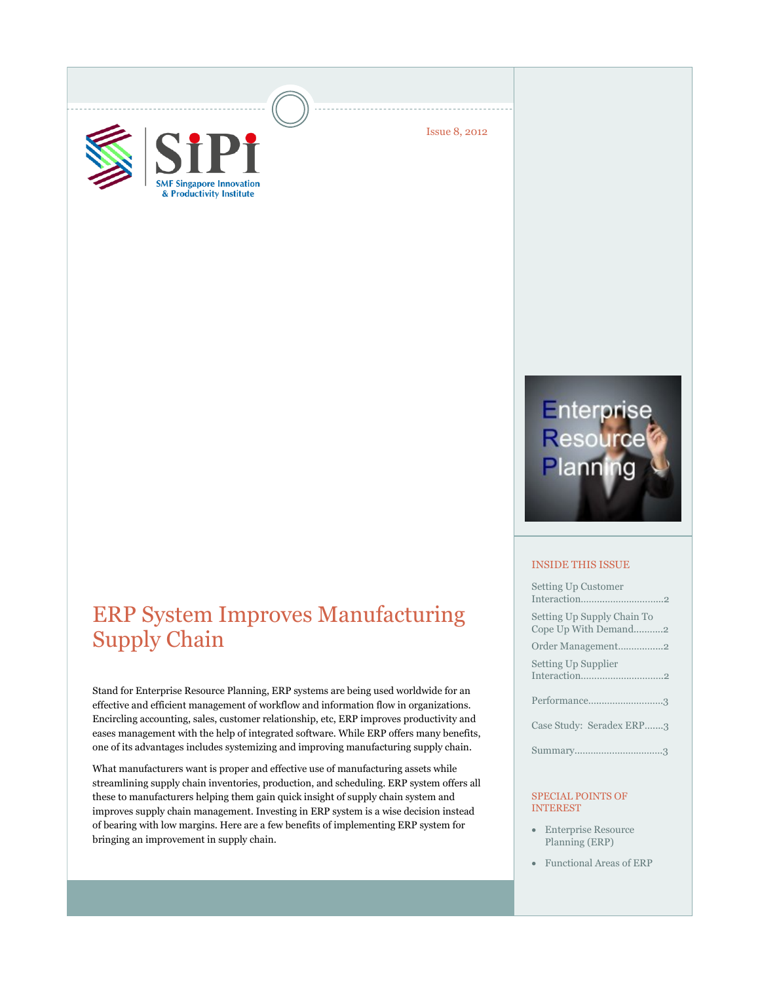



Issue 8, 2012

# ERP System Improves Manufacturing Supply Chain

Stand for Enterprise Resource Planning, ERP systems are being used worldwide for an effective and efficient management of workflow and information flow in organizations. Encircling accounting, sales, customer relationship, etc, ERP improves productivity and eases management with the help of integrated software. While ERP offers many benefits, one of its advantages includes systemizing and improving manufacturing supply chain.

What manufacturers want is proper and effective use of manufacturing assets while streamlining supply chain inventories, production, and scheduling. ERP system offers all these to manufacturers helping them gain quick insight of supply chain system and improves supply chain management. Investing in ERP system is a wise decision instead of bearing with low margins. Here are a few benefits of implementing ERP system for bringing an improvement in supply chain.

# Enterprise<br>Resource<br>Planning

#### INSIDE THIS ISSUE

| <b>Setting Up Customer</b>                         |
|----------------------------------------------------|
| Setting Up Supply Chain To<br>Cope Up With Demand2 |
| Order Management2                                  |
| Setting Up Supplier                                |
| Performance3                                       |
| Case Study: Seradex ERP3                           |
|                                                    |

#### SPECIAL POINTS OF INTEREST

- Enterprise Resource Planning (ERP)
- Functional Areas of ERP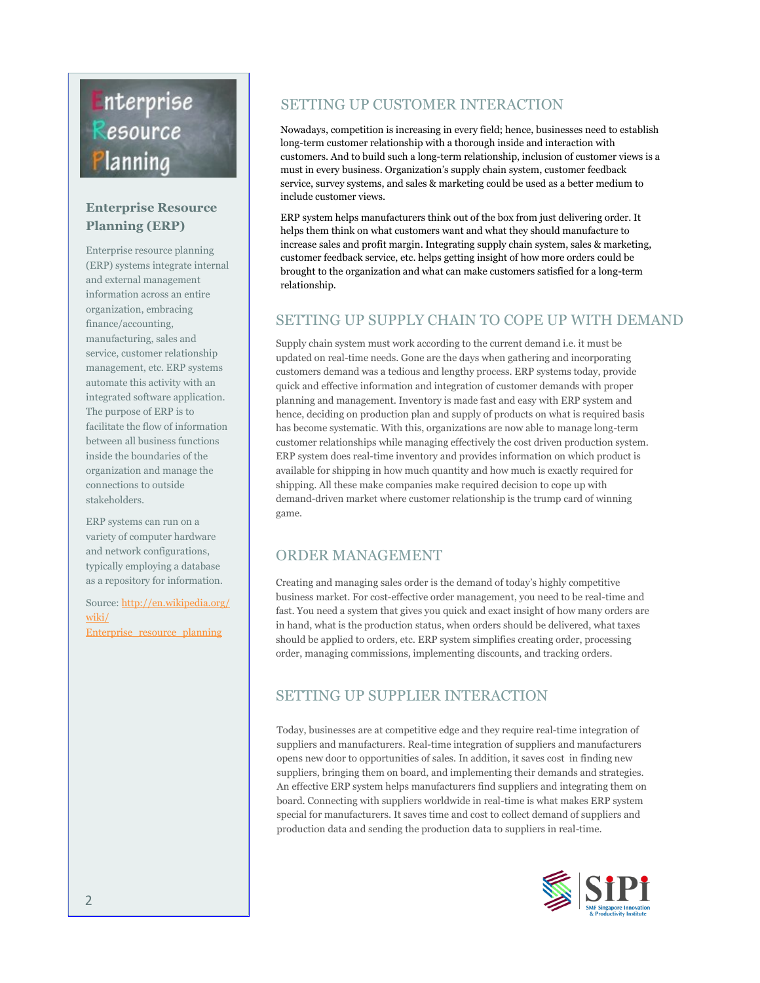# Enterprise Resource lanning

## **Enterprise Resource Planning (ERP)**

Enterprise resource planning (ERP) systems integrate internal and external management information across an entire organization, embracing finance/accounting, manufacturing, sales and service, customer relationship management, etc. ERP systems automate this activity with an integrated software application. The purpose of ERP is to facilitate the flow of information between all business functions inside the boundaries of the organization and manage the connections to outside stakeholders.

ERP systems can run on a variety of computer hardware and network configurations, typically employing a database as a repository for information.

Source: [http://en.wikipedia.org/](http://en.wikipedia.org/wiki/Enterprise_resource_planning) [wiki/](http://en.wikipedia.org/wiki/Enterprise_resource_planning) [Enterprise\\_resource\\_planning](http://en.wikipedia.org/wiki/Enterprise_resource_planning)

# SETTING UP CUSTOMER INTERACTION

Nowadays, competition is increasing in every field; hence, businesses need to establish long-term customer relationship with a thorough inside and interaction with customers. And to build such a long-term relationship, inclusion of customer views is a must in every business. Organization's supply chain system, customer feedback service, survey systems, and sales & marketing could be used as a better medium to include customer views.

ERP system helps manufacturers think out of the box from just delivering order. It helps them think on what customers want and what they should manufacture to increase sales and profit margin. Integrating supply chain system, sales & marketing, customer feedback service, etc. helps getting insight of how more orders could be brought to the organization and what can make customers satisfied for a long-term relationship.

### SETTING UP SUPPLY CHAIN TO COPE UP WITH DEMAND

Supply chain system must work according to the current demand i.e. it must be updated on real-time needs. Gone are the days when gathering and incorporating customers demand was a tedious and lengthy process. ERP systems today, provide quick and effective information and integration of customer demands with proper planning and management. Inventory is made fast and easy with ERP system and hence, deciding on production plan and supply of products on what is required basis has become systematic. With this, organizations are now able to manage long-term customer relationships while managing effectively the cost driven production system. ERP system does real-time inventory and provides information on which product is available for shipping in how much quantity and how much is exactly required for shipping. All these make companies make required decision to cope up with demand-driven market where customer relationship is the trump card of winning game.

## ORDER MANAGEMENT

Creating and managing sales order is the demand of today's highly competitive business market. For cost-effective order management, you need to be real-time and fast. You need a system that gives you quick and exact insight of how many orders are in hand, what is the production status, when orders should be delivered, what taxes should be applied to orders, etc. ERP system simplifies creating order, processing order, managing commissions, implementing discounts, and tracking orders.

# SETTING UP SUPPLIER INTERACTION

Today, businesses are at competitive edge and they require real-time integration of suppliers and manufacturers. Real-time integration of suppliers and manufacturers opens new door to opportunities of sales. In addition, it saves cost in finding new suppliers, bringing them on board, and implementing their demands and strategies. An effective ERP system helps manufacturers find suppliers and integrating them on board. Connecting with suppliers worldwide in real-time is what makes ERP system special for manufacturers. It saves time and cost to collect demand of suppliers and production data and sending the production data to suppliers in real-time.

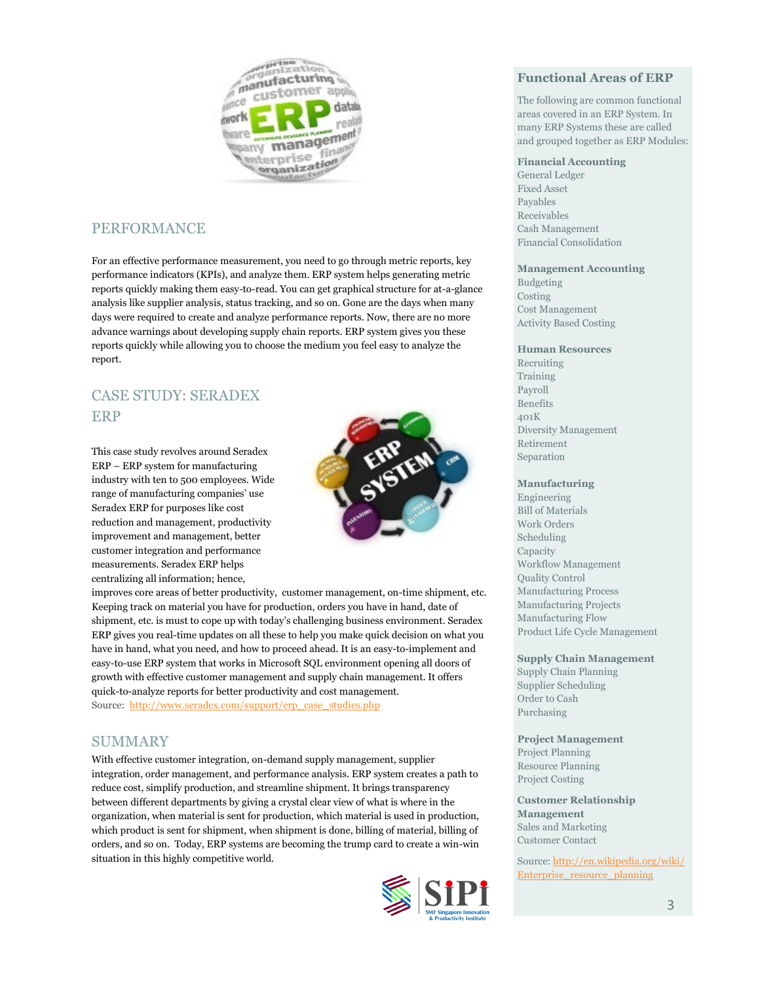

# PERFORMANCE

For an effective performance measurement, you need to go through metric reports, key performance indicators (KPIs), and analyze them. ERP system helps generating metric reports quickly making them easy-to-read. You can get graphical structure for at-a-glance analysis like supplier analysis, status tracking, and so on. Gone are the days when many days were required to create and analyze performance reports. Now, there are no more advance warnings about developing supply chain reports. ERP system gives you these reports quickly while allowing you to choose the medium you feel easy to analyze the report.

# CASE STUDY: SERADEX ERP

This case study revolves around Seradex ERP – ERP system for manufacturing industry with ten to 500 employees. Wide range of manufacturing companies' use Seradex ERP for purposes like cost reduction and management, productivity improvement and management, better customer integration and performance measurements. Seradex ERP helps centralizing all information; hence,



improves core areas of better productivity, customer management, on-time shipment, etc. Keeping track on material you have for production, orders you have in hand, date of shipment, etc. is must to cope up with today's challenging business environment. Seradex ERP gives you real-time updates on all these to help you make quick decision on what you have in hand, what you need, and how to proceed ahead. It is an easy-to-implement and easy-to-use ERP system that works in Microsoft SQL environment opening all doors of growth with effective customer management and supply chain management. It offers quick-to-analyze reports for better productivity and cost management. Source:[http://www.seradex.com/support/erp\\_case\\_studies.php](http://www.seradex.com/support/erp_case_studies.php)

#### SUMMARY

With effective customer integration, on-demand supply management, supplier integration, order management, and performance analysis. ERP system creates a path to reduce cost, simplify production, and streamline shipment. It brings transparency between different departments by giving a crystal clear view of what is where in the organization, when material is sent for production, which material is used in production, which product is sent for shipment, when shipment is done, billing of material, billing of orders, and so on. Today, ERP systems are becoming the trump card to create a win-win situation in this highly competitive world.



#### **Functional Areas of ERP**

The following are common functional areas covered in an ERP System. In many ERP Systems these are called and grouped together as ERP Modules:

#### **Financial Accounting**

General Ledger Fixed Asset Payables Receivables Cash Management Financial Consolidation

#### **Management Accounting**

Budgeting Costing Cost Management Activity Based Costing

#### **Human Resources**

Recruiting Training Payroll Benefits 401K Diversity Management Retirement Separation

#### **Manufacturing**

Engineering Bill of Materials Work Orders Scheduling Capacity Workflow Management Quality Control Manufacturing Process Manufacturing Projects Manufacturing Flow Product Life Cycle Management

**Supply Chain Management**  Supply Chain Planning Supplier Scheduling Order to Cash Purchasing

**Project Management**  Project Planning Resource Planning Project Costing

**Customer Relationship Management**  Sales and Marketing Customer Contact

Source: [http://en.wikipedia.org/wiki/](http://en.wikipedia.org/wiki/Enterprise_resource_planning) [Enterprise\\_resource\\_planning](http://en.wikipedia.org/wiki/Enterprise_resource_planning)